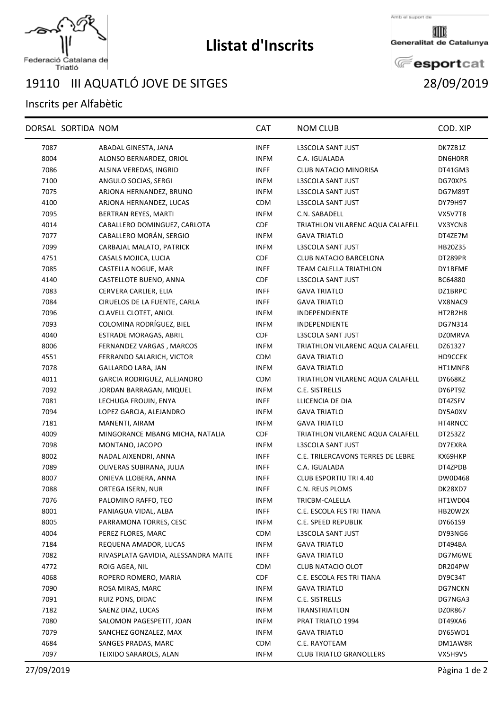

## **Llistat d'Inscrits**

Amb el suport de

Generalitat de Catalunya

**E**esportcat

Federació Catalana de<br>Triatló

## III AQUATLÓ JOVE DE SITGES 28/09/2019

## Inscrits per Alfabètic

|      | DORSAL SORTIDA NOM |                                      | <b>CAT</b>  | <b>NOM CLUB</b>                   | COD. XIP       |
|------|--------------------|--------------------------------------|-------------|-----------------------------------|----------------|
| 7087 |                    | ABADAL GINESTA, JANA                 | <b>INFF</b> | L3SCOLA SANT JUST                 | DK7ZB1Z        |
| 8004 |                    | ALONSO BERNARDEZ, ORIOL              | <b>INFM</b> | C.A. IGUALADA                     | DN6H0RR        |
| 7086 |                    | ALSINA VEREDAS, INGRID               | <b>INFF</b> | <b>CLUB NATACIO MINORISA</b>      | DT41GM3        |
| 7100 |                    | ANGULO SOCIAS, SERGI                 | <b>INFM</b> | L3SCOLA SANT JUST                 | DG70XPS        |
| 7075 |                    | ARJONA HERNANDEZ, BRUNO              | <b>INFM</b> | L3SCOLA SANT JUST                 | DG7M89T        |
| 4100 |                    | ARJONA HERNANDEZ, LUCAS              | <b>CDM</b>  | L3SCOLA SANT JUST                 | DY79H97        |
| 7095 |                    | BERTRAN REYES, MARTI                 | <b>INFM</b> | C.N. SABADELL                     | VX5V7T8        |
| 4014 |                    | CABALLERO DOMINGUEZ, CARLOTA         | <b>CDF</b>  | TRIATHLON VILARENC AQUA CALAFELL  | VX3YCN8        |
| 7077 |                    | CABALLERO MORÁN, SERGIO              | <b>INFM</b> | <b>GAVA TRIATLO</b>               | DT4ZE7M        |
| 7099 |                    | CARBAJAL MALATO, PATRICK             | <b>INFM</b> | L3SCOLA SANT JUST                 | HB20Z35        |
| 4751 |                    | CASALS MOJICA, LUCIA                 | CDF         | CLUB NATACIO BARCELONA            | DT289PR        |
| 7085 |                    | CASTELLA NOGUE, MAR                  | <b>INFF</b> | TEAM CALELLA TRIATHLON            | DY1BFME        |
| 4140 |                    | CASTELLOTE BUENO, ANNA               | <b>CDF</b>  | L3SCOLA SANT JUST                 | BC64880        |
| 7083 |                    | CERVERA CARLIER, ELIA                | <b>INFF</b> | <b>GAVA TRIATLO</b>               | DZ1BRPC        |
| 7084 |                    | CIRUELOS DE LA FUENTE, CARLA         | <b>INFF</b> | <b>GAVA TRIATLO</b>               | VX8NAC9        |
| 7096 |                    | CLAVELL CLOTET, ANIOL                | <b>INFM</b> | <b>INDEPENDIENTE</b>              | HT2B2H8        |
| 7093 |                    | COLOMINA RODRÍGUEZ, BIEL             | <b>INFM</b> | <b>INDEPENDIENTE</b>              | DG7N314        |
| 4040 |                    | ESTRADE MORAGAS, ABRIL               | CDF         | <b>L3SCOLA SANT JUST</b>          | <b>DZ0MRVA</b> |
| 8006 |                    | FERNANDEZ VARGAS, MARCOS             | <b>INFM</b> | TRIATHLON VILARENC AQUA CALAFELL  | DZ61327        |
| 4551 |                    | FERRANDO SALARICH, VICTOR            | <b>CDM</b>  | <b>GAVA TRIATLO</b>               | HD9CCEK        |
| 7078 |                    | GALLARDO LARA, JAN                   | <b>INFM</b> | <b>GAVA TRIATLO</b>               | HT1MNF8        |
| 4011 |                    | GARCIA RODRIGUEZ, ALEJANDRO          | <b>CDM</b>  | TRIATHLON VILARENC AQUA CALAFELL  | DY668KZ        |
| 7092 |                    | JORDAN BARRAGAN, MIQUEL              | <b>INFM</b> | C.E. SISTRELLS                    | DY6PT9Z        |
| 7081 |                    | LECHUGA FROUIN, ENYA                 | <b>INFF</b> | LLICENCIA DE DIA                  | DT4ZSFV        |
| 7094 |                    | LOPEZ GARCIA, ALEJANDRO              | <b>INFM</b> | <b>GAVA TRIATLO</b>               | DY5A0XV        |
| 7181 |                    | MANENTI, AIRAM                       | <b>INFM</b> | <b>GAVA TRIATLO</b>               | HT4RNCC        |
| 4009 |                    | MINGORANCE MBANG MICHA, NATALIA      | <b>CDF</b>  | TRIATHLON VILARENC AQUA CALAFELL  | DT253ZZ        |
| 7098 |                    | MONTANO, JACOPO                      | <b>INFM</b> | L3SCOLA SANT JUST                 | DY7EXRA        |
| 8002 |                    | NADAL AIXENDRI, ANNA                 | <b>INFF</b> | C.E. TRILERCAVONS TERRES DE LEBRE | КХ69НКР        |
| 7089 |                    | OLIVERAS SUBIRANA, JULIA             | <b>INFF</b> | C.A. IGUALADA                     | DT4ZPDB        |
| 8007 |                    | ONIEVA LLOBERA, ANNA                 | <b>INFF</b> | <b>CLUB ESPORTIU TRI 4.40</b>     | DW0D468        |
| 7088 |                    | ORTEGA ISERN, NUR                    | <b>INFF</b> | C.N. REUS PLOMS                   | DK28XD7        |
| 7076 |                    | PALOMINO RAFFO, TEO                  | <b>INFM</b> | TRICBM-CALELLA                    | HT1WD04        |
| 8001 |                    | PANIAGUA VIDAL, ALBA                 | <b>INFF</b> | C.E. ESCOLA FES TRI TIANA         | <b>HB20W2X</b> |
| 8005 |                    | PARRAMONA TORRES, CESC               | <b>INFM</b> | C.E. SPEED REPUBLIK               | DY661S9        |
| 4004 |                    | PEREZ FLORES, MARC                   | <b>CDM</b>  | L3SCOLA SANT JUST                 | DY93NG6        |
| 7184 |                    | REQUENA AMADOR, LUCAS                | <b>INFM</b> | <b>GAVA TRIATLO</b>               | DT494BA        |
| 7082 |                    | RIVASPLATA GAVIDIA, ALESSANDRA MAITE | <b>INFF</b> | <b>GAVA TRIATLO</b>               | DG7M6WE        |
| 4772 |                    | ROIG AGEA, NIL                       | <b>CDM</b>  | CLUB NATACIO OLOT                 | DR204PW        |
| 4068 |                    | ROPERO ROMERO, MARIA                 | <b>CDF</b>  | C.E. ESCOLA FES TRI TIANA         | DY9C34T        |
| 7090 |                    | ROSA MIRAS, MARC                     | <b>INFM</b> | <b>GAVA TRIATLO</b>               | DG7NCKN        |
| 7091 |                    | RUIZ PONS, DIDAC                     | <b>INFM</b> | C.E. SISTRELLS                    | DG7NGA3        |
| 7182 |                    | SAENZ DIAZ, LUCAS                    | <b>INFM</b> | <b>TRANSTRIATLON</b>              | DZ0R867        |
| 7080 |                    | SALOMON PAGESPETIT, JOAN             | <b>INFM</b> | PRAT TRIATLO 1994                 | DT49XA6        |
| 7079 |                    | SANCHEZ GONZALEZ, MAX                | <b>INFM</b> | <b>GAVA TRIATLO</b>               | DY65WD1        |
| 4684 |                    | SANGES PRADAS, MARC                  | <b>CDM</b>  | C.E. RAYOTEAM                     | DM1AW8R        |
| 7097 |                    | TEIXIDO SARAROLS, ALAN               | <b>INFM</b> | <b>CLUB TRIATLO GRANOLLERS</b>    | VX5H9V5        |